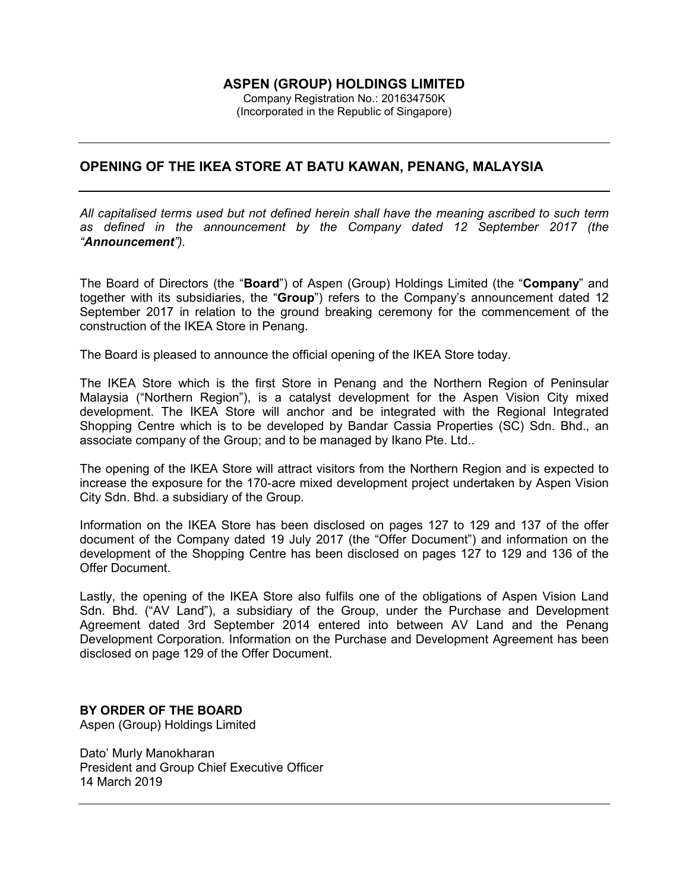## **ASPEN (GROUP) HOLDINGS LIMITED**

Company Registration No.: 201634750K (Incorporated in the Republic of Singapore)

## **OPENING OF THE IKEA STORE AT BATU KAWAN, PENANG, MALAYSIA**

*All capitalised terms used but not defined herein shall have the meaning ascribed to such term as defined in the announcement by the Company dated 12 September 2017 (the "Announcement").* 

The Board of Directors (the "**Board**") of Aspen (Group) Holdings Limited (the "**Company**" and together with its subsidiaries, the "**Group**") refers to the Company's announcement dated 12 September 2017 in relation to the ground breaking ceremony for the commencement of the construction of the IKEA Store in Penang.

The Board is pleased to announce the official opening of the IKEA Store today.

The IKEA Store which is the first Store in Penang and the Northern Region of Peninsular Malaysia ("Northern Region"), is a catalyst development for the Aspen Vision City mixed development. The IKEA Store will anchor and be integrated with the Regional Integrated Shopping Centre which is to be developed by Bandar Cassia Properties (SC) Sdn. Bhd., an associate company of the Group; and to be managed by Ikano Pte. Ltd..

The opening of the IKEA Store will attract visitors from the Northern Region and is expected to increase the exposure for the 170-acre mixed development project undertaken by Aspen Vision City Sdn. Bhd. a subsidiary of the Group.

Information on the IKEA Store has been disclosed on pages 127 to 129 and 137 of the offer document of the Company dated 19 July 2017 (the "Offer Document") and information on the development of the Shopping Centre has been disclosed on pages 127 to 129 and 136 of the Offer Document.

Lastly, the opening of the IKEA Store also fulfils one of the obligations of Aspen Vision Land Sdn. Bhd. ("AV Land"), a subsidiary of the Group, under the Purchase and Development Agreement dated 3rd September 2014 entered into between AV Land and the Penang Development Corporation. Information on the Purchase and Development Agreement has been disclosed on page 129 of the Offer Document.

## **BY ORDER OF THE BOARD**

Aspen (Group) Holdings Limited

Dato' Murly Manokharan President and Group Chief Executive Officer 14 March 2019